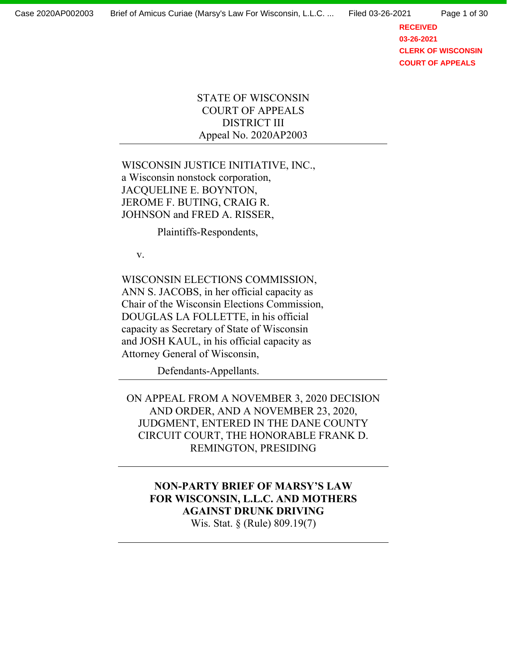**RECEIVED 03-26-2021 CLERK OF WISCONSIN COURT OF APPEALS**

# STATE OF WISCONSIN COURT OF APPEALS DISTRICT III Appeal No. 2020AP2003

# WISCONSIN JUSTICE INITIATIVE, INC., a Wisconsin nonstock corporation, JACQUELINE E. BOYNTON, JEROME F. BUTING, CRAIG R. JOHNSON and FRED A. RISSER,

Plaintiffs-Respondents,

v.

WISCONSIN ELECTIONS COMMISSION, ANN S. JACOBS, in her official capacity as Chair of the Wisconsin Elections Commission, DOUGLAS LA FOLLETTE, in his official capacity as Secretary of State of Wisconsin and JOSH KAUL, in his official capacity as Attorney General of Wisconsin,

Defendants-Appellants.

ON APPEAL FROM A NOVEMBER 3, 2020 DECISION AND ORDER, AND A NOVEMBER 23, 2020, JUDGMENT, ENTERED IN THE DANE COUNTY CIRCUIT COURT, THE HONORABLE FRANK D. REMINGTON, PRESIDING

**NON-PARTY BRIEF OF MARSY'S LAW FOR WISCONSIN, L.L.C. AND MOTHERS AGAINST DRUNK DRIVING**  Wis. Stat. § (Rule) 809.19(7)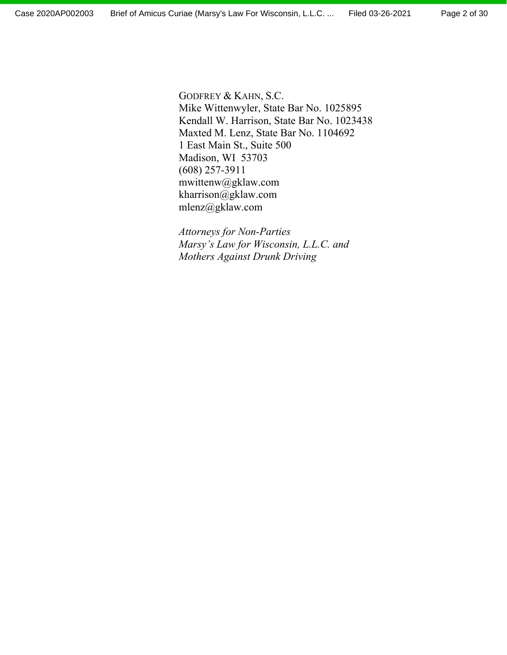GODFREY & KAHN, S.C. Mike Wittenwyler, State Bar No. 1025895 Kendall W. Harrison, State Bar No. 1023438 Maxted M. Lenz, State Bar No. 1104692 1 East Main St., Suite 500 Madison, WI 53703 (608) 257-3911 mwittenw@gklaw.com kharrison@gklaw.com mlenz@gklaw.com

*Attorneys for Non-Parties Marsy's Law for Wisconsin, L.L.C. and Mothers Against Drunk Driving*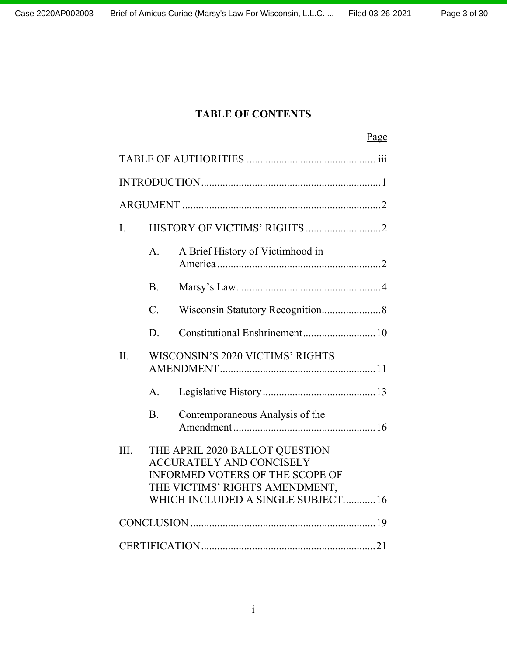# **TABLE OF CONTENTS**

|         |                                  |                                                                                                                                                                                    | Page |  |  |
|---------|----------------------------------|------------------------------------------------------------------------------------------------------------------------------------------------------------------------------------|------|--|--|
|         |                                  |                                                                                                                                                                                    |      |  |  |
|         |                                  |                                                                                                                                                                                    |      |  |  |
|         |                                  |                                                                                                                                                                                    |      |  |  |
| I.      |                                  |                                                                                                                                                                                    |      |  |  |
|         | A.                               | A Brief History of Victimhood in                                                                                                                                                   |      |  |  |
|         | <b>B.</b>                        |                                                                                                                                                                                    |      |  |  |
|         | $\overline{C}$ .                 |                                                                                                                                                                                    |      |  |  |
|         | D.                               |                                                                                                                                                                                    |      |  |  |
| $\Pi$ . | WISCONSIN'S 2020 VICTIMS' RIGHTS |                                                                                                                                                                                    |      |  |  |
|         | A <sub>1</sub>                   |                                                                                                                                                                                    |      |  |  |
|         | <b>B.</b>                        | Contemporaneous Analysis of the                                                                                                                                                    |      |  |  |
| III.    |                                  | THE APRIL 2020 BALLOT QUESTION<br><b>ACCURATELY AND CONCISELY</b><br><b>INFORMED VOTERS OF THE SCOPE OF</b><br>THE VICTIMS' RIGHTS AMENDMENT,<br>WHICH INCLUDED A SINGLE SUBJECT16 |      |  |  |
|         |                                  |                                                                                                                                                                                    |      |  |  |
|         |                                  |                                                                                                                                                                                    |      |  |  |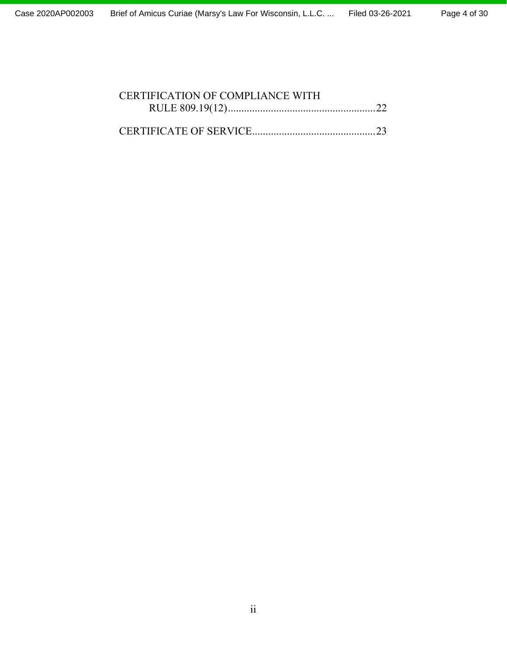# CERTIFICATION OF COMPLIANCE WITH RULE 809.19(12) ....................................................... 22 CERTIFICATE OF SERVICE .............................................. 23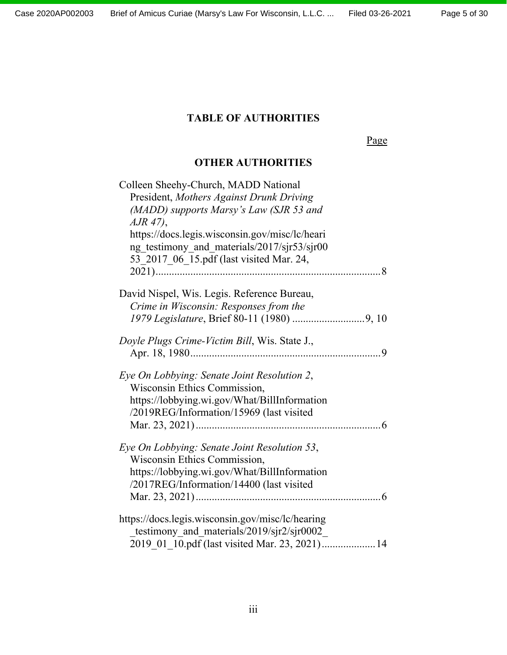Page 5 of 30

# **TABLE OF AUTHORITIES**

Page

# **OTHER AUTHORITIES**

| Colleen Sheehy-Church, MADD National             |
|--------------------------------------------------|
| President, Mothers Against Drunk Driving         |
| (MADD) supports Marsy's Law (SJR 53 and          |
| $A$ JR 47),                                      |
| https://docs.legis.wisconsin.gov/misc/lc/heari   |
| ng testimony and materials/2017/sjr53/sjr00      |
| 53 2017 06 15.pdf (last visited Mar. 24,         |
|                                                  |
|                                                  |
| David Nispel, Wis. Legis. Reference Bureau,      |
| Crime in Wisconsin: Responses from the           |
|                                                  |
|                                                  |
| Doyle Plugs Crime-Victim Bill, Wis. State J.,    |
|                                                  |
| Eye On Lobbying: Senate Joint Resolution 2,      |
| Wisconsin Ethics Commission,                     |
| https://lobbying.wi.gov/What/BillInformation     |
|                                                  |
| /2019REG/Information/15969 (last visited         |
|                                                  |
| Eye On Lobbying: Senate Joint Resolution 53,     |
| Wisconsin Ethics Commission,                     |
| https://lobbying.wi.gov/What/BillInformation     |
| /2017REG/Information/14400 (last visited         |
|                                                  |
|                                                  |
| https://docs.legis.wisconsin.gov/misc/lc/hearing |
| testimony_and_materials/2019/sjr2/sjr0002_       |
| 2019 01 10.pdf (last visited Mar. 23, 2021) 14   |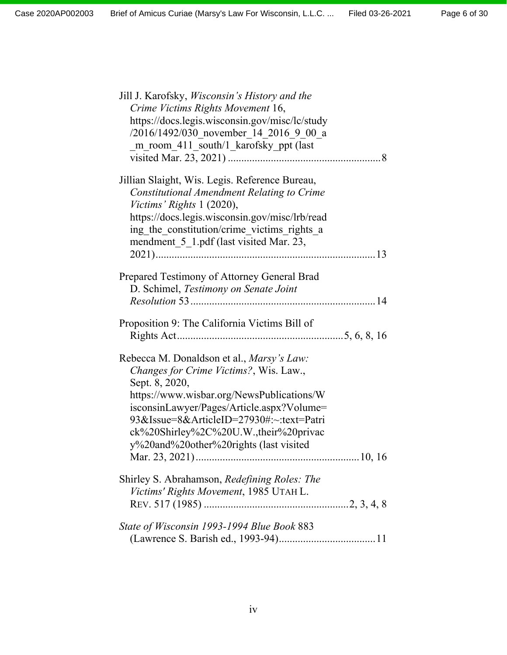| Jill J. Karofsky, <i>Wisconsin's History and the</i><br>Crime Victims Rights Movement 16,<br>https://docs.legis.wisconsin.gov/misc/lc/study<br>/2016/1492/030 november 14 2016 9 00 a<br>m_room_411_south/1_karofsky_ppt (last                                                                                                         |
|----------------------------------------------------------------------------------------------------------------------------------------------------------------------------------------------------------------------------------------------------------------------------------------------------------------------------------------|
| Jillian Slaight, Wis. Legis. Reference Bureau,<br>Constitutional Amendment Relating to Crime<br>Victims' Rights 1 (2020),<br>https://docs.legis.wisconsin.gov/misc/lrb/read<br>ing the constitution/crime victims rights a<br>mendment_5_1.pdf (last visited Mar. 23,                                                                  |
| Prepared Testimony of Attorney General Brad<br>D. Schimel, Testimony on Senate Joint                                                                                                                                                                                                                                                   |
| Proposition 9: The California Victims Bill of                                                                                                                                                                                                                                                                                          |
| Rebecca M. Donaldson et al., <i>Marsy's Law</i> :<br>Changes for Crime Victims?, Wis. Law.,<br>Sept. 8, 2020,<br>https://www.wisbar.org/NewsPublications/W<br>isconsinLawyer/Pages/Article.aspx?Volume=<br>93&Issue=8&ArticleID=27930#:~:text=Patri<br>ck%20Shirley%2C%20U.W.,their%20privac<br>y%20and%20other%20rights (last visited |
| Shirley S. Abrahamson, Redefining Roles: The<br>Victims' Rights Movement, 1985 UTAH L.                                                                                                                                                                                                                                                 |
| State of Wisconsin 1993-1994 Blue Book 883                                                                                                                                                                                                                                                                                             |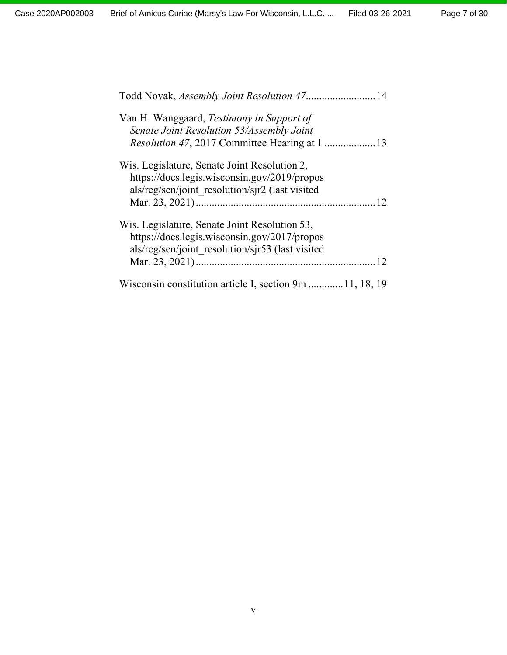| Todd Novak, Assembly Joint Resolution 47 14              |
|----------------------------------------------------------|
| Van H. Wanggaard, Testimony in Support of                |
| Senate Joint Resolution 53/Assembly Joint                |
|                                                          |
| Wis. Legislature, Senate Joint Resolution 2,             |
| https://docs.legis.wisconsin.gov/2019/propos             |
| als/reg/sen/joint resolution/sjr2 (last visited          |
| 12                                                       |
| Wis. Legislature, Senate Joint Resolution 53,            |
| https://docs.legis.wisconsin.gov/2017/propos             |
| als/reg/sen/joint resolution/sjr53 (last visited         |
| 12                                                       |
| Wisconsin constitution article I, section 9m  11, 18, 19 |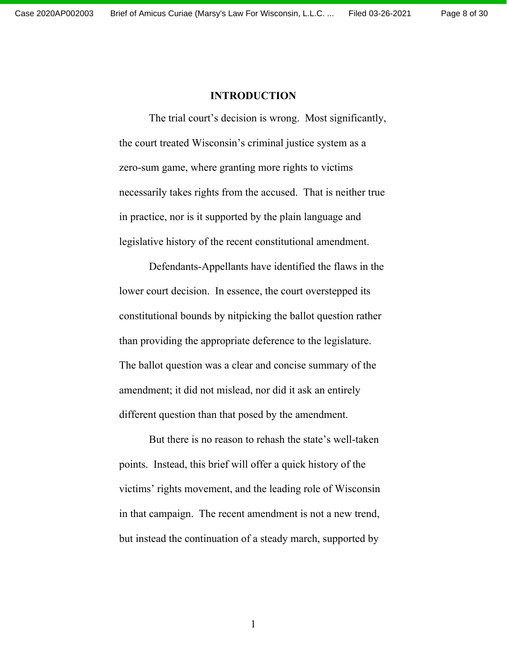#### **INTRODUCTION**

The trial court's decision is wrong. Most significantly, the court treated Wisconsin's criminal justice system as a zero-sum game, where granting more rights to victims necessarily takes rights from the accused. That is neither true in practice, nor is it supported by the plain language and legislative history of the recent constitutional amendment.

Defendants-Appellants have identified the flaws in the lower court decision. In essence, the court overstepped its constitutional bounds by nitpicking the ballot question rather than providing the appropriate deference to the legislature. The ballot question was a clear and concise summary of the amendment; it did not mislead, nor did it ask an entirely different question than that posed by the amendment.

But there is no reason to rehash the state's well-taken points. Instead, this brief will offer a quick history of the victims' rights movement, and the leading role of Wisconsin in that campaign. The recent amendment is not a new trend, but instead the continuation of a steady march, supported by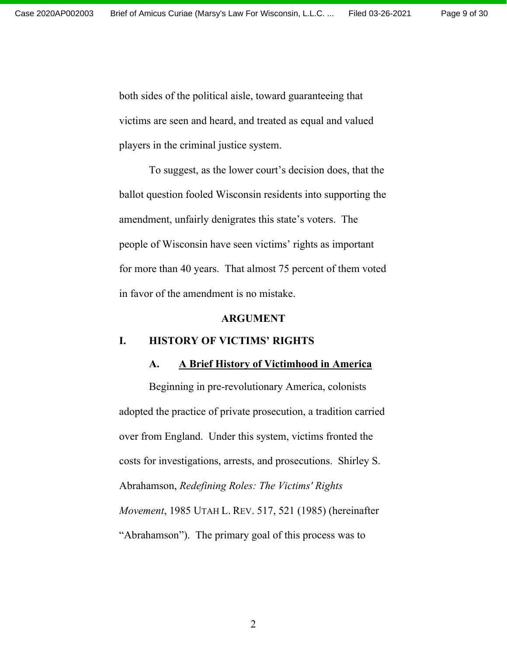both sides of the political aisle, toward guaranteeing that victims are seen and heard, and treated as equal and valued players in the criminal justice system.

To suggest, as the lower court's decision does, that the ballot question fooled Wisconsin residents into supporting the amendment, unfairly denigrates this state's voters. The people of Wisconsin have seen victims' rights as important for more than 40 years. That almost 75 percent of them voted in favor of the amendment is no mistake.

#### **ARGUMENT**

#### **I. HISTORY OF VICTIMS' RIGHTS**

#### **A. A Brief History of Victimhood in America**

Beginning in pre-revolutionary America, colonists adopted the practice of private prosecution, a tradition carried over from England. Under this system, victims fronted the costs for investigations, arrests, and prosecutions. Shirley S. Abrahamson, *Redefining Roles: The Victims' Rights Movement*, 1985 UTAH L. REV. 517, 521 (1985) (hereinafter "Abrahamson"). The primary goal of this process was to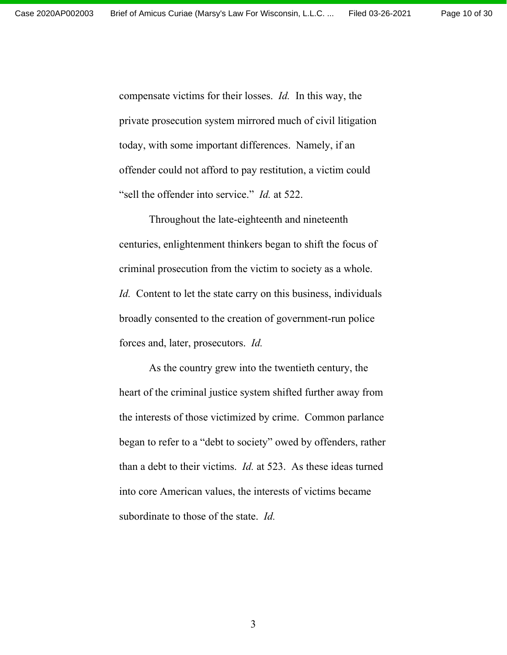compensate victims for their losses. *Id.* In this way, the private prosecution system mirrored much of civil litigation today, with some important differences. Namely, if an offender could not afford to pay restitution, a victim could "sell the offender into service." *Id.* at 522.

Throughout the late-eighteenth and nineteenth centuries, enlightenment thinkers began to shift the focus of criminal prosecution from the victim to society as a whole. *Id.* Content to let the state carry on this business, individuals broadly consented to the creation of government-run police forces and, later, prosecutors. *Id.* 

As the country grew into the twentieth century, the heart of the criminal justice system shifted further away from the interests of those victimized by crime. Common parlance began to refer to a "debt to society" owed by offenders, rather than a debt to their victims. *Id.* at 523. As these ideas turned into core American values, the interests of victims became subordinate to those of the state. *Id.*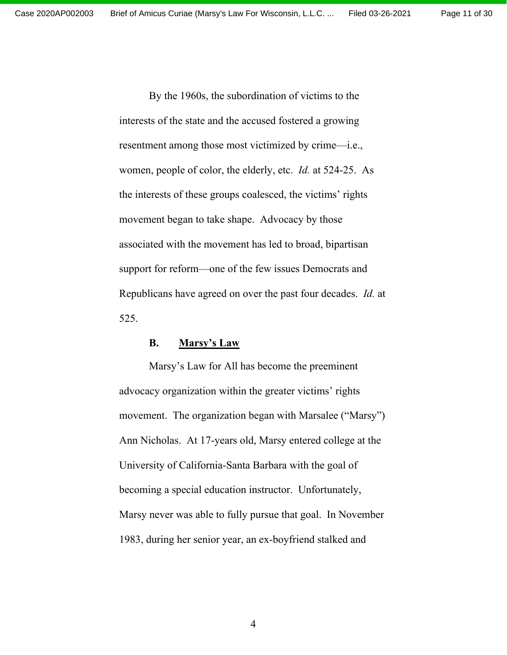By the 1960s, the subordination of victims to the interests of the state and the accused fostered a growing resentment among those most victimized by crime—i.e., women, people of color, the elderly, etc. *Id.* at 524-25. As the interests of these groups coalesced, the victims' rights movement began to take shape. Advocacy by those associated with the movement has led to broad, bipartisan support for reform—one of the few issues Democrats and Republicans have agreed on over the past four decades. *Id.* at 525.

#### **B. Marsy's Law**

Marsy's Law for All has become the preeminent advocacy organization within the greater victims' rights movement. The organization began with Marsalee ("Marsy") Ann Nicholas. At 17-years old, Marsy entered college at the University of California-Santa Barbara with the goal of becoming a special education instructor. Unfortunately, Marsy never was able to fully pursue that goal. In November 1983, during her senior year, an ex-boyfriend stalked and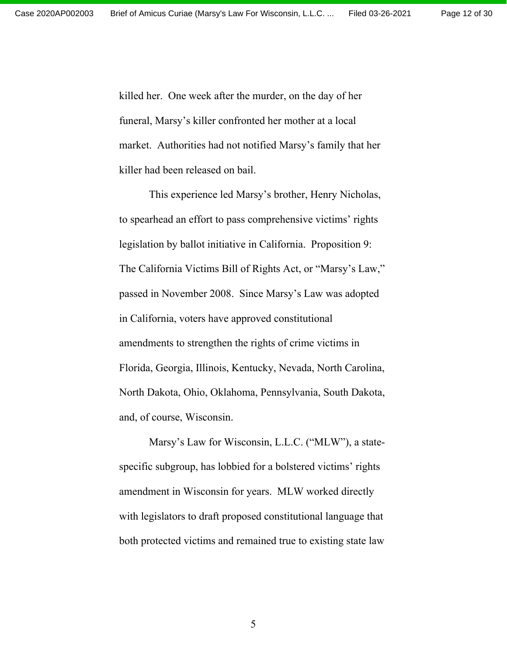killed her. One week after the murder, on the day of her funeral, Marsy's killer confronted her mother at a local market. Authorities had not notified Marsy's family that her killer had been released on bail.

This experience led Marsy's brother, Henry Nicholas, to spearhead an effort to pass comprehensive victims' rights legislation by ballot initiative in California. Proposition 9: The California Victims Bill of Rights Act, or "Marsy's Law," passed in November 2008. Since Marsy's Law was adopted in California, voters have approved constitutional amendments to strengthen the rights of crime victims in Florida, Georgia, Illinois, Kentucky, Nevada, North Carolina, North Dakota, Ohio, Oklahoma, Pennsylvania, South Dakota, and, of course, Wisconsin.

Marsy's Law for Wisconsin, L.L.C. ("MLW"), a statespecific subgroup, has lobbied for a bolstered victims' rights amendment in Wisconsin for years. MLW worked directly with legislators to draft proposed constitutional language that both protected victims and remained true to existing state law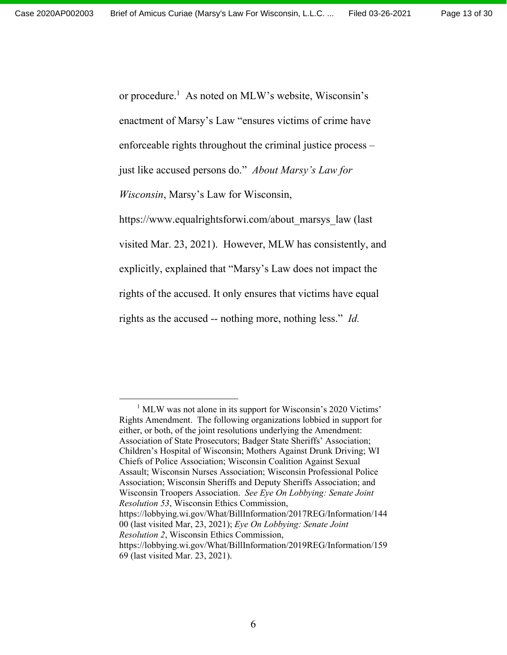or procedure.<sup>1</sup> As noted on MLW's website, Wisconsin's enactment of Marsy's Law "ensures victims of crime have enforceable rights throughout the criminal justice process – just like accused persons do." *About Marsy's Law for Wisconsin*, Marsy's Law for Wisconsin, https://www.equalrightsforwi.com/about\_marsys\_law (last visited Mar. 23, 2021). However, MLW has consistently, and explicitly, explained that "Marsy's Law does not impact the rights of the accused. It only ensures that victims have equal rights as the accused -- nothing more, nothing less." *Id.* 

<sup>1</sup> MLW was not alone in its support for Wisconsin's 2020 Victims' Rights Amendment. The following organizations lobbied in support for either, or both, of the joint resolutions underlying the Amendment: Association of State Prosecutors; Badger State Sheriffs' Association; Children's Hospital of Wisconsin; Mothers Against Drunk Driving; WI Chiefs of Police Association; Wisconsin Coalition Against Sexual Assault; Wisconsin Nurses Association; Wisconsin Professional Police Association; Wisconsin Sheriffs and Deputy Sheriffs Association; and Wisconsin Troopers Association. *See Eye On Lobbying: Senate Joint Resolution 53*, Wisconsin Ethics Commission, https://lobbying.wi.gov/What/BillInformation/2017REG/Information/144 00 (last visited Mar, 23, 2021); *Eye On Lobbying: Senate Joint Resolution 2*, Wisconsin Ethics Commission, https://lobbying.wi.gov/What/BillInformation/2019REG/Information/159

<sup>69 (</sup>last visited Mar. 23, 2021).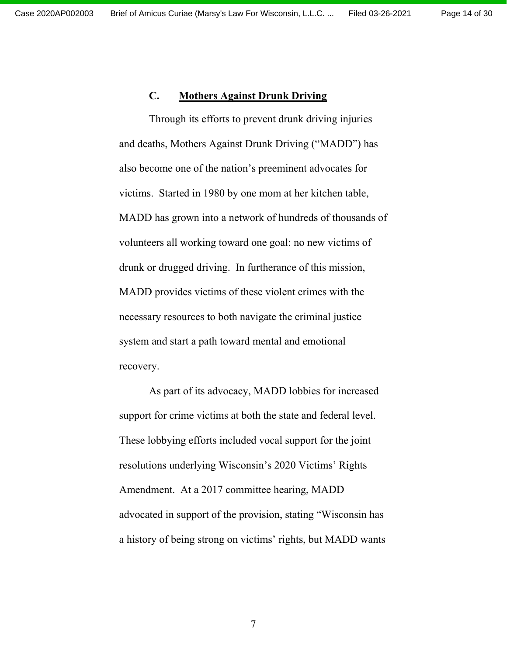#### **C. Mothers Against Drunk Driving**

Through its efforts to prevent drunk driving injuries and deaths, Mothers Against Drunk Driving ("MADD") has also become one of the nation's preeminent advocates for victims. Started in 1980 by one mom at her kitchen table, MADD has grown into a network of hundreds of thousands of volunteers all working toward one goal: no new victims of drunk or drugged driving. In furtherance of this mission, MADD provides victims of these violent crimes with the necessary resources to both navigate the criminal justice system and start a path toward mental and emotional recovery.

As part of its advocacy, MADD lobbies for increased support for crime victims at both the state and federal level. These lobbying efforts included vocal support for the joint resolutions underlying Wisconsin's 2020 Victims' Rights Amendment. At a 2017 committee hearing, MADD advocated in support of the provision, stating "Wisconsin has a history of being strong on victims' rights, but MADD wants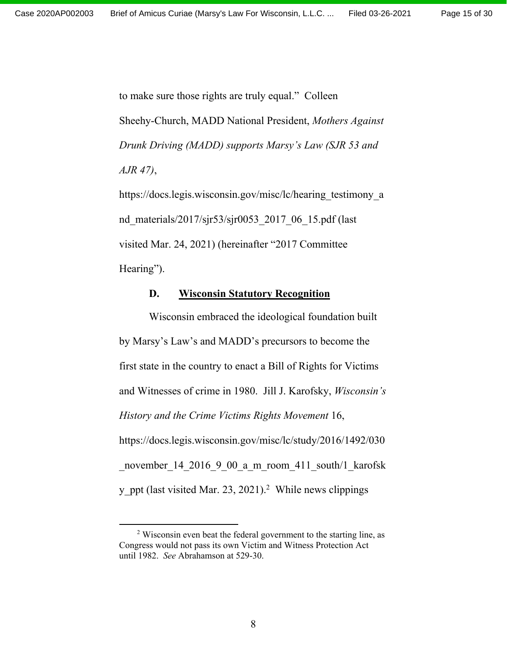to make sure those rights are truly equal." Colleen Sheehy-Church, MADD National President, *Mothers Against Drunk Driving (MADD) supports Marsy's Law (SJR 53 and AJR 47)*,

https://docs.legis.wisconsin.gov/misc/lc/hearing testimony a nd\_materials/2017/sjr53/sjr0053\_2017\_06\_15.pdf (last visited Mar. 24, 2021) (hereinafter "2017 Committee Hearing").

#### **D. Wisconsin Statutory Recognition**

Wisconsin embraced the ideological foundation built by Marsy's Law's and MADD's precursors to become the first state in the country to enact a Bill of Rights for Victims and Witnesses of crime in 1980. Jill J. Karofsky, *Wisconsin's History and the Crime Victims Rights Movement* 16, https://docs.legis.wisconsin.gov/misc/lc/study/2016/1492/030 november 14 2016 9 00 a m room 411 south/1 karofsk y ppt (last visited Mar. 23, 2021).<sup>2</sup> While news clippings

 $2$  Wisconsin even beat the federal government to the starting line, as Congress would not pass its own Victim and Witness Protection Act until 1982. *See* Abrahamson at 529-30.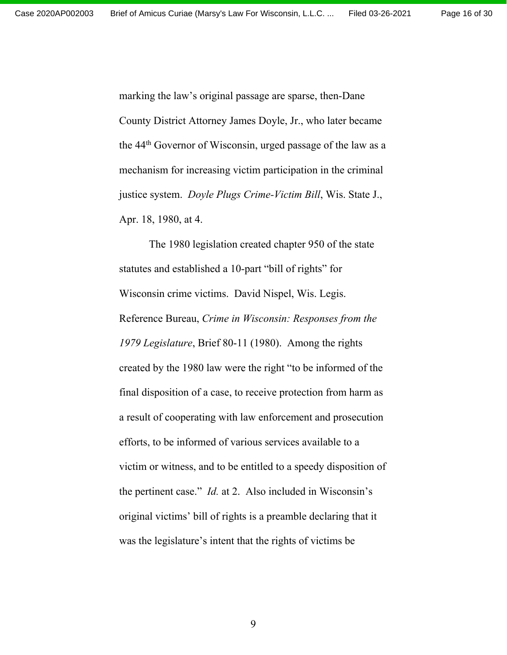marking the law's original passage are sparse, then-Dane County District Attorney James Doyle, Jr., who later became the 44th Governor of Wisconsin, urged passage of the law as a mechanism for increasing victim participation in the criminal justice system. *Doyle Plugs Crime-Victim Bill*, Wis. State J., Apr. 18, 1980, at 4.

The 1980 legislation created chapter 950 of the state statutes and established a 10-part "bill of rights" for Wisconsin crime victims. David Nispel, Wis. Legis. Reference Bureau, *Crime in Wisconsin: Responses from the 1979 Legislature*, Brief 80-11 (1980). Among the rights created by the 1980 law were the right "to be informed of the final disposition of a case, to receive protection from harm as a result of cooperating with law enforcement and prosecution efforts, to be informed of various services available to a victim or witness, and to be entitled to a speedy disposition of the pertinent case." *Id.* at 2. Also included in Wisconsin's original victims' bill of rights is a preamble declaring that it was the legislature's intent that the rights of victims be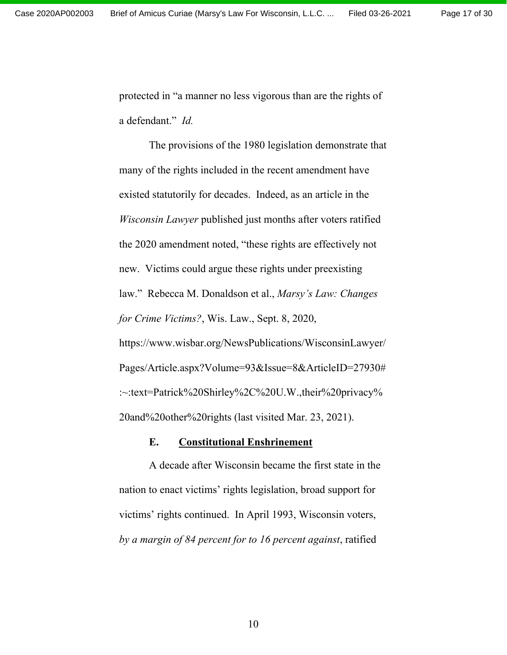protected in "a manner no less vigorous than are the rights of a defendant." *Id.*

The provisions of the 1980 legislation demonstrate that many of the rights included in the recent amendment have existed statutorily for decades. Indeed, as an article in the *Wisconsin Lawyer* published just months after voters ratified the 2020 amendment noted, "these rights are effectively not new. Victims could argue these rights under preexisting law." Rebecca M. Donaldson et al., *Marsy's Law: Changes for Crime Victims?*, Wis. Law., Sept. 8, 2020, https://www.wisbar.org/NewsPublications/WisconsinLawyer/ Pages/Article.aspx?Volume=93&Issue=8&ArticleID=27930# :~:text=Patrick%20Shirley%2C%20U.W.,their%20privacy% 20and%20other%20rights (last visited Mar. 23, 2021).

### **E. Constitutional Enshrinement**

A decade after Wisconsin became the first state in the nation to enact victims' rights legislation, broad support for victims' rights continued. In April 1993, Wisconsin voters, *by a margin of 84 percent for to 16 percent against*, ratified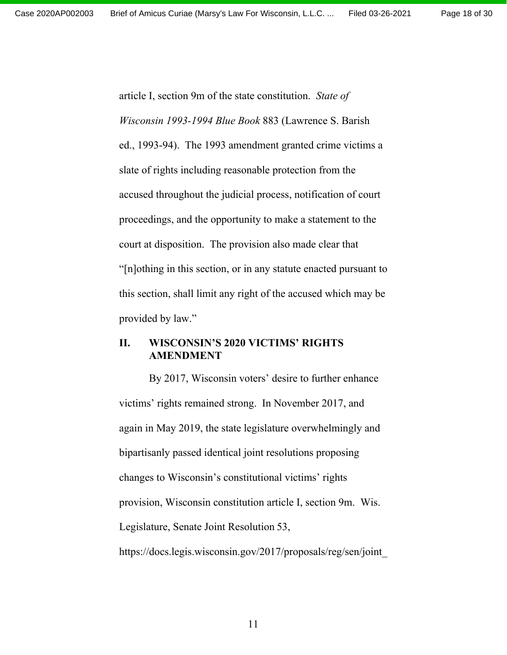article I, section 9m of the state constitution. *State of Wisconsin 1993-1994 Blue Book* 883 (Lawrence S. Barish ed., 1993-94). The 1993 amendment granted crime victims a slate of rights including reasonable protection from the accused throughout the judicial process, notification of court proceedings, and the opportunity to make a statement to the court at disposition. The provision also made clear that "[n]othing in this section, or in any statute enacted pursuant to this section, shall limit any right of the accused which may be provided by law."

### **II. WISCONSIN'S 2020 VICTIMS' RIGHTS AMENDMENT**

By 2017, Wisconsin voters' desire to further enhance victims' rights remained strong. In November 2017, and again in May 2019, the state legislature overwhelmingly and bipartisanly passed identical joint resolutions proposing changes to Wisconsin's constitutional victims' rights provision, Wisconsin constitution article I, section 9m. Wis. Legislature, Senate Joint Resolution 53, https://docs.legis.wisconsin.gov/2017/proposals/reg/sen/joint\_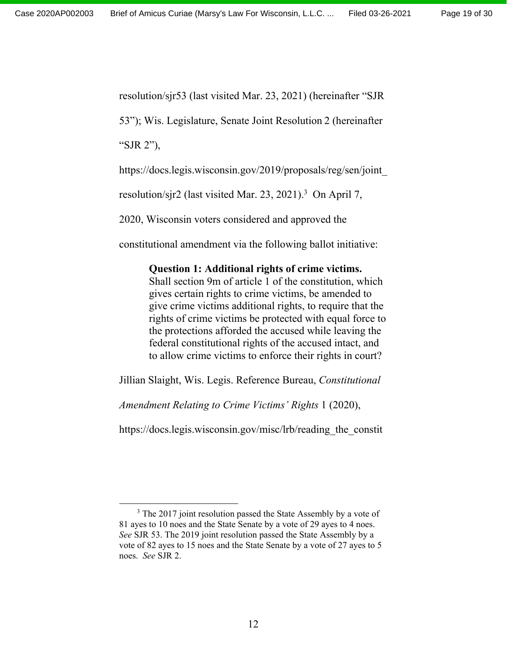resolution/sjr53 (last visited Mar. 23, 2021) (hereinafter "SJR

53"); Wis. Legislature, Senate Joint Resolution 2 (hereinafter

"SJR 2"),

https://docs.legis.wisconsin.gov/2019/proposals/reg/sen/joint\_

resolution/sjr2 (last visited Mar. 23, 2021).<sup>3</sup> On April 7,

2020, Wisconsin voters considered and approved the

constitutional amendment via the following ballot initiative:

# **Question 1: Additional rights of crime victims.**

Shall section 9m of article 1 of the constitution, which gives certain rights to crime victims, be amended to give crime victims additional rights, to require that the rights of crime victims be protected with equal force to the protections afforded the accused while leaving the federal constitutional rights of the accused intact, and to allow crime victims to enforce their rights in court?

Jillian Slaight, Wis. Legis. Reference Bureau, *Constitutional* 

*Amendment Relating to Crime Victims' Rights* 1 (2020),

https://docs.legis.wisconsin.gov/misc/lrb/reading the constit

<sup>&</sup>lt;sup>3</sup> The 2017 joint resolution passed the State Assembly by a vote of 81 ayes to 10 noes and the State Senate by a vote of 29 ayes to 4 noes. *See* SJR 53. The 2019 joint resolution passed the State Assembly by a vote of 82 ayes to 15 noes and the State Senate by a vote of 27 ayes to 5 noes. *See* SJR 2.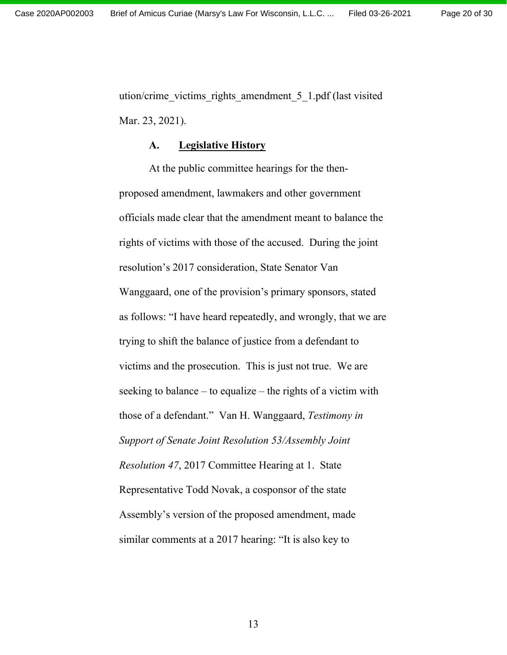ution/crime\_victims\_rights\_amendment\_5\_1.pdf (last visited Mar. 23, 2021).

#### **A. Legislative History**

At the public committee hearings for the thenproposed amendment, lawmakers and other government officials made clear that the amendment meant to balance the rights of victims with those of the accused. During the joint resolution's 2017 consideration, State Senator Van Wanggaard, one of the provision's primary sponsors, stated as follows: "I have heard repeatedly, and wrongly, that we are trying to shift the balance of justice from a defendant to victims and the prosecution. This is just not true. We are seeking to balance – to equalize – the rights of a victim with those of a defendant." Van H. Wanggaard, *Testimony in Support of Senate Joint Resolution 53/Assembly Joint Resolution 47*, 2017 Committee Hearing at 1. State Representative Todd Novak, a cosponsor of the state Assembly's version of the proposed amendment, made similar comments at a 2017 hearing: "It is also key to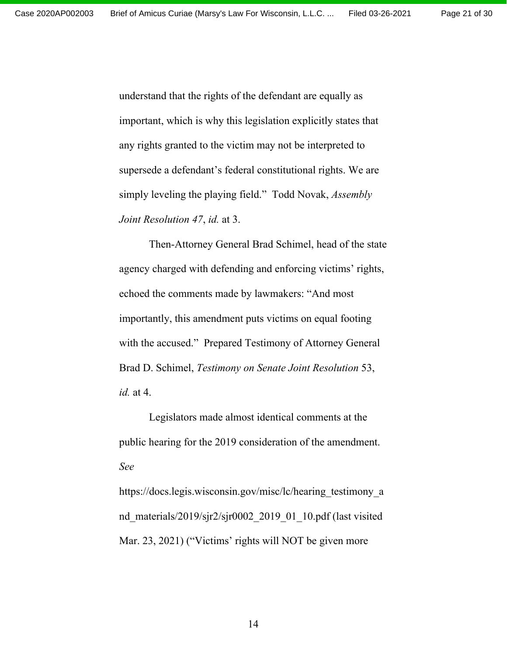understand that the rights of the defendant are equally as important, which is why this legislation explicitly states that any rights granted to the victim may not be interpreted to supersede a defendant's federal constitutional rights. We are simply leveling the playing field." Todd Novak, *Assembly Joint Resolution 47*, *id.* at 3.

Then-Attorney General Brad Schimel, head of the state agency charged with defending and enforcing victims' rights, echoed the comments made by lawmakers: "And most importantly, this amendment puts victims on equal footing with the accused." Prepared Testimony of Attorney General Brad D. Schimel, *Testimony on Senate Joint Resolution* 53, *id.* at 4.

Legislators made almost identical comments at the public hearing for the 2019 consideration of the amendment. *See* 

https://docs.legis.wisconsin.gov/misc/lc/hearing testimony a nd materials/2019/sjr2/sjr0002 2019 01 10.pdf (last visited Mar. 23, 2021) ("Victims' rights will NOT be given more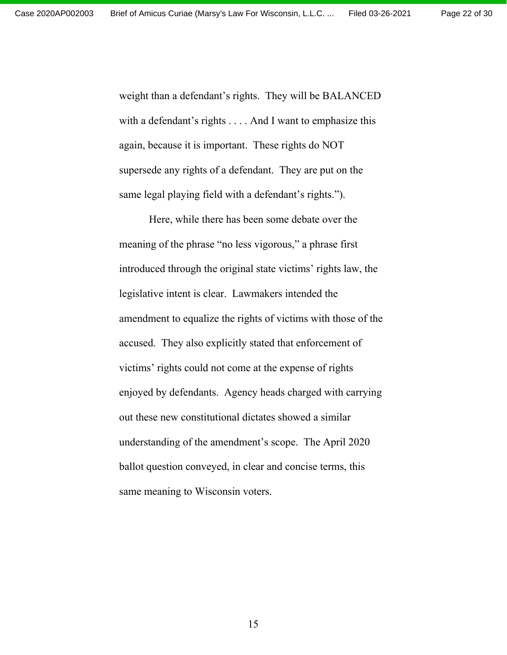weight than a defendant's rights. They will be BALANCED with a defendant's rights . . . . And I want to emphasize this again, because it is important. These rights do NOT supersede any rights of a defendant. They are put on the same legal playing field with a defendant's rights.").

Here, while there has been some debate over the meaning of the phrase "no less vigorous," a phrase first introduced through the original state victims' rights law, the legislative intent is clear. Lawmakers intended the amendment to equalize the rights of victims with those of the accused. They also explicitly stated that enforcement of victims' rights could not come at the expense of rights enjoyed by defendants. Agency heads charged with carrying out these new constitutional dictates showed a similar understanding of the amendment's scope. The April 2020 ballot question conveyed, in clear and concise terms, this same meaning to Wisconsin voters.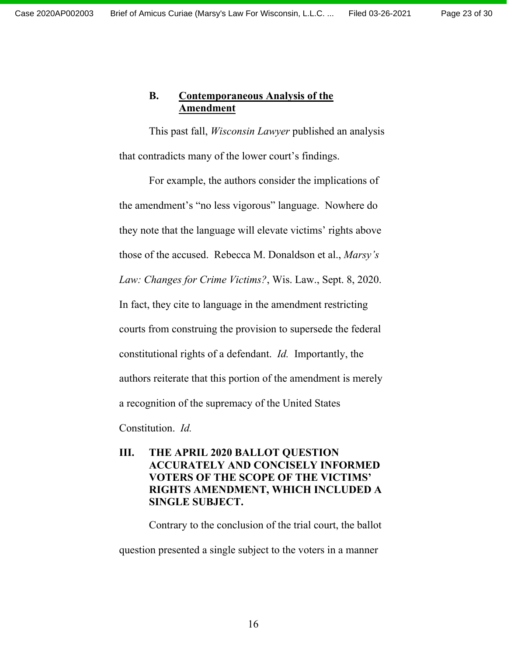# **B. Contemporaneous Analysis of the Amendment**

This past fall, *Wisconsin Lawyer* published an analysis that contradicts many of the lower court's findings.

For example, the authors consider the implications of the amendment's "no less vigorous" language. Nowhere do they note that the language will elevate victims' rights above those of the accused. Rebecca M. Donaldson et al., *Marsy's Law: Changes for Crime Victims?*, Wis. Law., Sept. 8, 2020. In fact, they cite to language in the amendment restricting courts from construing the provision to supersede the federal constitutional rights of a defendant. *Id.* Importantly, the authors reiterate that this portion of the amendment is merely a recognition of the supremacy of the United States

Constitution. *Id.* 

**III. THE APRIL 2020 BALLOT QUESTION ACCURATELY AND CONCISELY INFORMED VOTERS OF THE SCOPE OF THE VICTIMS' RIGHTS AMENDMENT, WHICH INCLUDED A SINGLE SUBJECT.** 

Contrary to the conclusion of the trial court, the ballot

question presented a single subject to the voters in a manner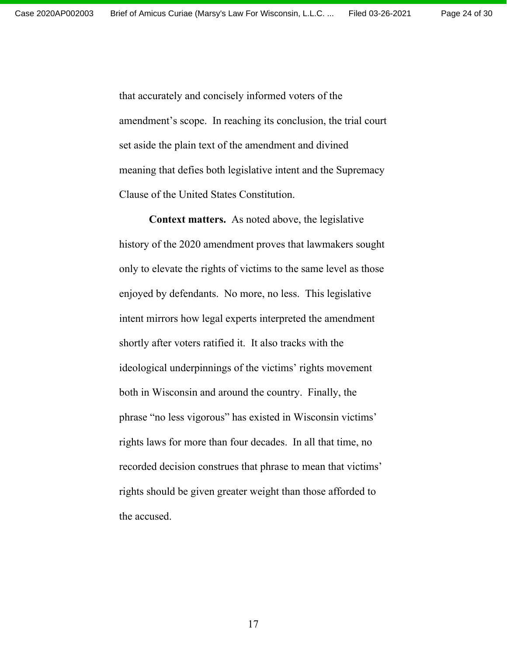that accurately and concisely informed voters of the amendment's scope. In reaching its conclusion, the trial court set aside the plain text of the amendment and divined meaning that defies both legislative intent and the Supremacy Clause of the United States Constitution.

**Context matters.** As noted above, the legislative history of the 2020 amendment proves that lawmakers sought only to elevate the rights of victims to the same level as those enjoyed by defendants. No more, no less. This legislative intent mirrors how legal experts interpreted the amendment shortly after voters ratified it. It also tracks with the ideological underpinnings of the victims' rights movement both in Wisconsin and around the country. Finally, the phrase "no less vigorous" has existed in Wisconsin victims' rights laws for more than four decades. In all that time, no recorded decision construes that phrase to mean that victims' rights should be given greater weight than those afforded to the accused.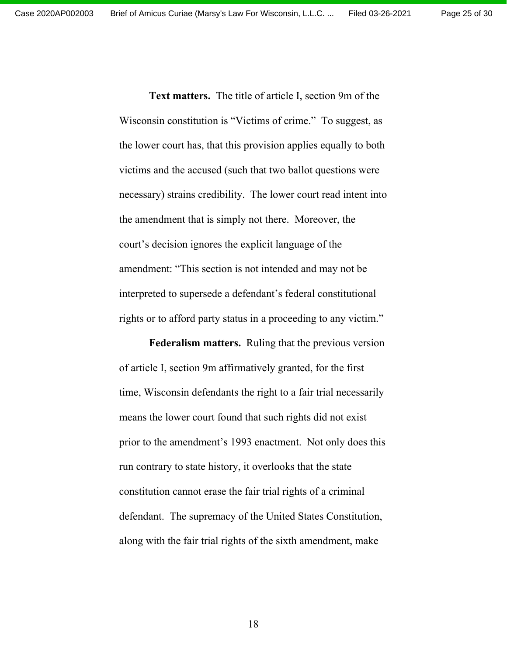**Text matters.** The title of article I, section 9m of the Wisconsin constitution is "Victims of crime." To suggest, as the lower court has, that this provision applies equally to both victims and the accused (such that two ballot questions were necessary) strains credibility. The lower court read intent into the amendment that is simply not there. Moreover, the court's decision ignores the explicit language of the amendment: "This section is not intended and may not be interpreted to supersede a defendant's federal constitutional rights or to afford party status in a proceeding to any victim."

**Federalism matters.** Ruling that the previous version of article I, section 9m affirmatively granted, for the first time, Wisconsin defendants the right to a fair trial necessarily means the lower court found that such rights did not exist prior to the amendment's 1993 enactment. Not only does this run contrary to state history, it overlooks that the state constitution cannot erase the fair trial rights of a criminal defendant. The supremacy of the United States Constitution, along with the fair trial rights of the sixth amendment, make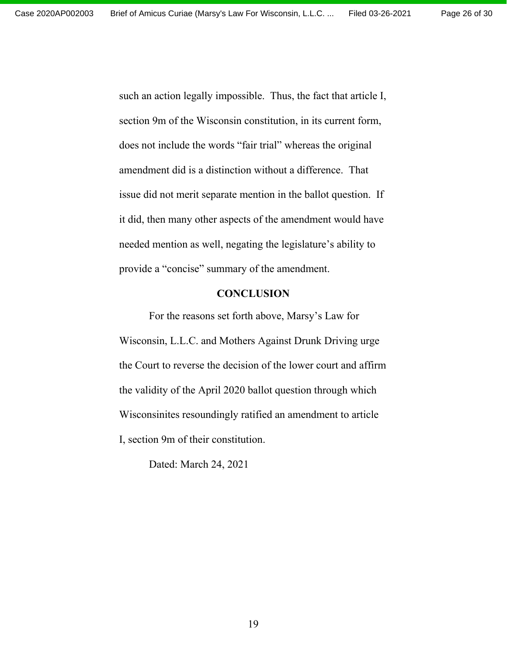such an action legally impossible. Thus, the fact that article I, section 9m of the Wisconsin constitution, in its current form, does not include the words "fair trial" whereas the original amendment did is a distinction without a difference. That issue did not merit separate mention in the ballot question. If it did, then many other aspects of the amendment would have needed mention as well, negating the legislature's ability to provide a "concise" summary of the amendment.

#### **CONCLUSION**

For the reasons set forth above, Marsy's Law for Wisconsin, L.L.C. and Mothers Against Drunk Driving urge the Court to reverse the decision of the lower court and affirm the validity of the April 2020 ballot question through which Wisconsinites resoundingly ratified an amendment to article I, section 9m of their constitution.

Dated: March 24, 2021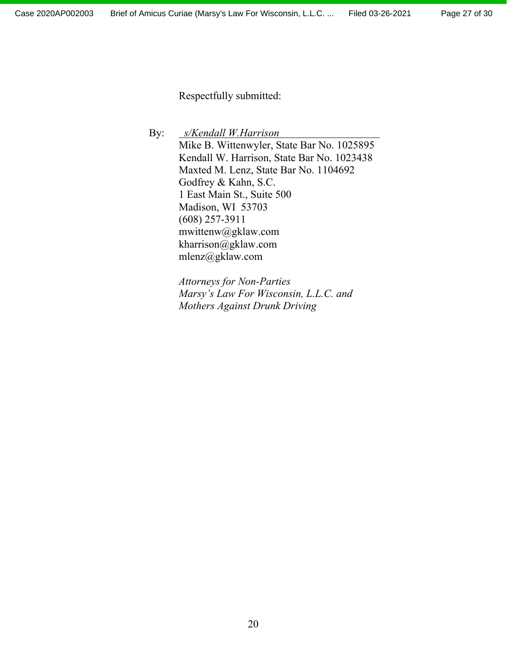Respectfully submitted:

By: *s/Kendall W.Harrison* Mike B. Wittenwyler, State Bar No. 1025895 Kendall W. Harrison, State Bar No. 1023438 Maxted M. Lenz, State Bar No. 1104692 Godfrey & Kahn, S.C. 1 East Main St., Suite 500 Madison, WI 53703 (608) 257-3911 mwittenw@gklaw.com kharrison@gklaw.com mlenz@gklaw.com

> *Attorneys for Non-Parties Marsy's Law For Wisconsin, L.L.C. and Mothers Against Drunk Driving*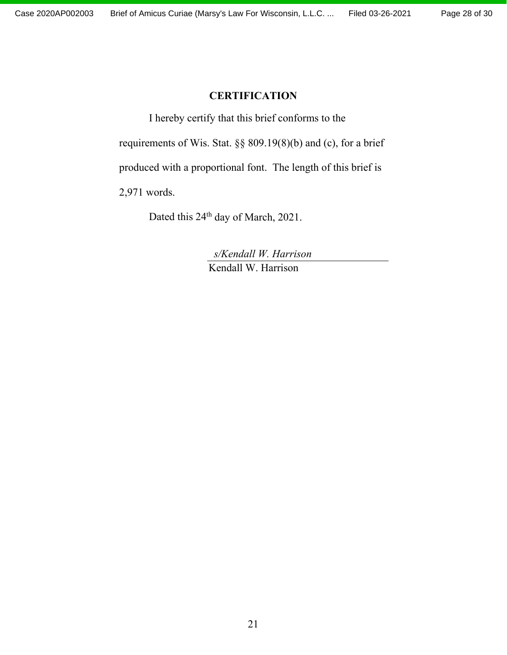### **CERTIFICATION**

I hereby certify that this brief conforms to the

requirements of Wis. Stat. §§ 809.19(8)(b) and (c), for a brief

produced with a proportional font. The length of this brief is

2,971 words.

Dated this 24<sup>th</sup> day of March, 2021.

 *s/Kendall W. Harrison*  Kendall W. Harrison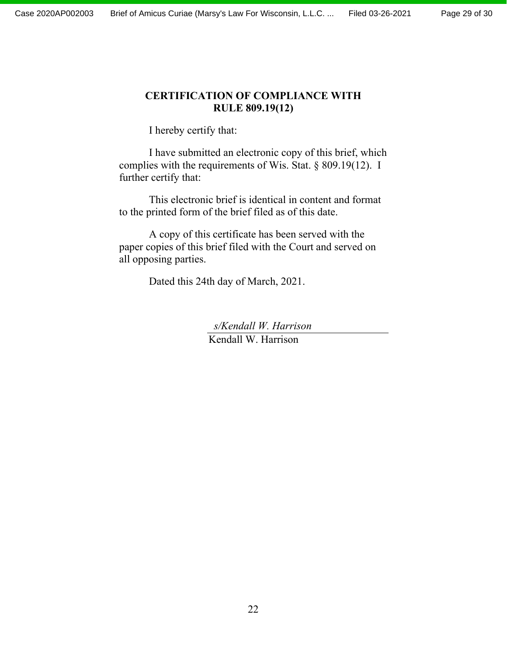### **CERTIFICATION OF COMPLIANCE WITH RULE 809.19(12)**

I hereby certify that:

I have submitted an electronic copy of this brief, which complies with the requirements of Wis. Stat. § 809.19(12). I further certify that:

This electronic brief is identical in content and format to the printed form of the brief filed as of this date.

A copy of this certificate has been served with the paper copies of this brief filed with the Court and served on all opposing parties.

Dated this 24th day of March, 2021.

 *s/Kendall W. Harrison*  Kendall W. Harrison